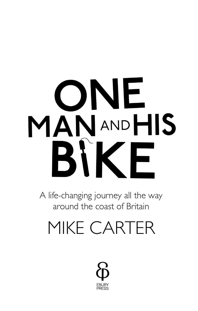# ONE **MANANDHIS** RÎKF

A life-changing journey all the way around the coast of Britain

# MIKE CARTER

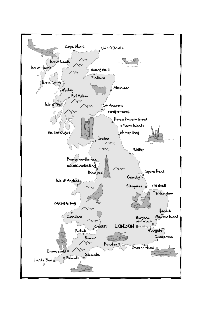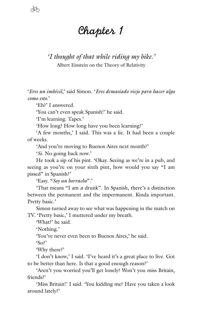## *Chapter 1*

*'I thought of that while riding my bike.'* Albert Einstein on the Theory of Relativity

'*Eres un imbécil*,' said Simon. '*Eres demasiado viejo para hacer algo como esto.*'

'Eh?' I answered.

'You can't even speak Spanish!' he said.

'I'm learning. Tapes.'

'How long? How long have you been learning?'

'A few months,' I said. This was a lie. It had been a couple of weeks.

'And you're moving to Buenos Aires next month?'

'*Si*. No going back now.'

He took a sip of his pint. 'Okay. Seeing as we're in a pub, and seeing as you're on your sixth pint, how would you say "I am pissed" in Spanish?'

'Easy. "*Soy un borracho*".'

'That means "I am *a* drunk". In Spanish, there's a distinction between the permanent and the impermanent. Kinda important. Pretty basic.'

Simon turned away to see what was happening in the match on TV. 'Pretty basic,' I muttered under my breath.

'What?' he said.

'Nothing.'

'You've never even been to Buenos Aires,' he said.

'So?'

'Why there?'

'I don't know,' I said. 'I've heard it's a great place to live. Got to be better than here. Is that a good enough reason?'

'Aren't you worried you'll get lonely? Won't you miss Britain, friends?'

'Miss Britain!' I said. 'You kidding me? Have you taken a look around lately?'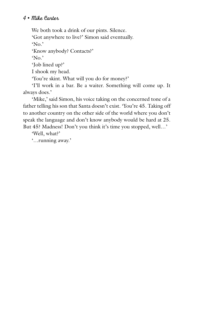We both took a drink of our pints. Silence.

'Got anywhere to live?' Simon said eventually.

'No.'

'Know anybody? Contacts?'

'No.'

'Job lined up?'

I shook my head.

'You're skint. What will you do for money?'

'I'll work in a bar. Be a waiter. Something will come up. It always does.'

'Mike,' said Simon, his voice taking on the concerned tone of a father telling his son that Santa doesn't exist. 'You're 45. Taking off to another country on the other side of the world where you don't speak the language and don't know anybody would be hard at 25. But 45? Madness! Don't you think it's time you stopped, well…'

'Well, what?'

'…running away.'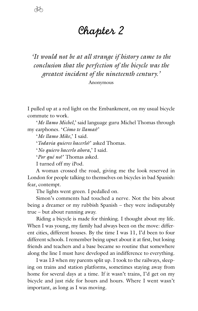### *Chapter 2*

*'It would not be at all strange if history came to the conclusion that the perfection of the bicycle was the greatest incident of the nineteenth century.'*  Anonymous

I pulled up at a red light on the Embankment, on my usual bicycle commute to work.

'*Me llamo Michel*,' said language guru Michel Thomas through my earphones. '*Cómo te llamas*?'

'*Me llamo Mike*,' I said.

'*Todavia quieres hacerlo*?' asked Thomas.

'*No quiero hacerlo ahora*,' I said.

'*Por qué no*?' Thomas asked.

I turned off my iPod.

A woman crossed the road, giving me the look reserved in London for people talking to themselves on bicycles in bad Spanish: fear, contempt.

The lights went green. I pedalled on.

Simon's comments had touched a nerve. Not the bits about being a dreamer or my rubbish Spanish – they were indisputably true – but about running away.

Riding a bicycle is made for thinking. I thought about my life. When I was young, my family had always been on the move: different cities, different houses. By the time I was 11, I'd been to four different schools. I remember being upset about it at first, but losing friends and teachers and a base became so routine that somewhere along the line I must have developed an indifference to everything.

I was 13 when my parents split up. I took to the railways, sleeping on trains and station platforms, sometimes staying away from home for several days at a time. If it wasn't trains, I'd get on my bicycle and just ride for hours and hours. Where I went wasn't important, as long as I was moving.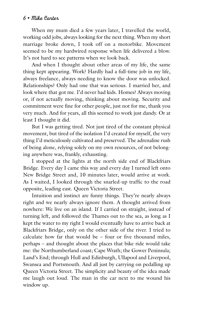#### *6 • Mike Carter*

When my mum died a few years later, I travelled the world, working odd jobs, always looking for the next thing. When my short marriage broke down, I took off on a motorbike. Movement seemed to be my hardwired response when life delivered a blow. It's not hard to see patterns when we look back.

And when I thought about other areas of my life, the same thing kept appearing. Work? Hardly had a full-time job in my life, always freelance, always needing to know the door was unlocked. Relationships? Only had one that was serious. I married her, and look where that got me. I'd never had kids. Homes? Always moving or, if not actually moving, thinking about moving. Security and commitment were fine for other people, just not for me, thank you very much. And for years, all this seemed to work just dandy. Or at least I thought it did.

But I was getting tired. Not just tired of the constant physical movement, but tired of the isolation I'd created for myself, the very thing I'd meticulously cultivated and preserved. The adrenaline rush of being alone, relying solely on my own resources, of not belonging anywhere was, frankly, exhausting.

I stopped at the lights at the north side end of Blackfriars Bridge. Every day I came this way and every day I turned left onto New Bridge Street and, 10 minutes later, would arrive at work. As I waited, I looked through the snarled-up traffic to the road opposite, leading east. Queen Victoria Street.

Intuition and instinct are funny things. They're nearly always right and we nearly always ignore them. A thought arrived from nowhere: We live on an island. If I carried on straight, instead of turning left, and followed the Thames out to the sea, as long as I kept the water to my right I would eventually have to arrive back at Blackfriars Bridge, only on the other side of the river. I tried to calculate how far that would be – four or five thousand miles, perhaps – and thought about the places that bike ride would take me: the Northumberland coast; Cape Wrath; the Gower Peninsula; Land's End; through Hull and Edinburgh, Ullapool and Liverpool, Swansea and Portsmouth. And all just by carrying on pedalling up Queen Victoria Street. The simplicity and beauty of the idea made me laugh out loud. The man in the car next to me wound his window up.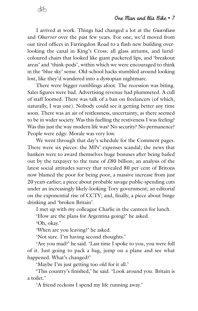I arrived at work. Things had changed a lot at the *Guardian* and *Observer* over the past few years. For one, we'd moved from our tired offices in Farringdon Road to a flash new building overlooking the canal in King's Cross: all glass atriums, and luridcoloured chairs that looked like giant puckered lips, and 'breakout areas' and 'think-pods', within which we were encouraged to think in the 'blue sky' sense. Old-school hacks stumbled around looking lost, like they'd wandered into a dystopian nightmare.

There were bigger rumblings afoot. The recession was biting. Sales figures were bad. Advertising revenue had plummeted. A cull of staff loomed. There was talk of a ban on freelancers (of which, naturally, I was one). Nobody could see it getting better any time soon. There was an air of restlessness, uncertainty, as there seemed to be in wider society. Was this fuelling the restiveness I was feeling? Was this just the way modern life was? No security? No permanence? People were edgy. Morale was very low.

We went through that day's schedule for the Comment pages. There were six pieces: the MPs' expenses scandal; the news that bankers were to award themselves huge bonuses after being bailed out by the taxpayer to the tune of £80 billion; an analysis of the latest social attitudes survey that revealed 80 per cent of Britons now blamed the poor for being poor, a massive increase from just 20 years earlier; a piece about probable savage public-spending cuts under an increasingly likely-looking Tory government; an editorial on the exponential rise of CCTV; and, finally, a piece about binge drinking and 'broken Britain'.

I met up with my colleague Charlie in the canteen for lunch.

'How are the plans for Argentina going?' he asked.

'Oh, okay.'

'When are you leaving?' he asked.

'Not sure. I'm having second thoughts.'

'Are you mad?' he said. 'Last time I spoke to you, you were full of it. Just going to pack a bag, jump on a plane and see what happened. What's changed?'

'Maybe I'm just getting too old for it all.'

'This country's finished,' he said. 'Look around you. Britain is a toilet.'

'A friend reckons I spend my life running away.'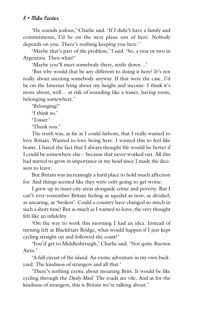'He sounds jealous,' Charlie said. 'If I didn't have a family and commitments, I'd be on the next plane out of here. Nobody depends on you. There's nothing keeping you here.'

'Maybe that's part of the problem,' I said. 'So, a year or two in Argentina. Then what?'

'Maybe you'll meet somebody there, settle down…'

'But why would that be any different to doing it here? It's not really about meeting somebody anyway. If that were the case, I'd be on the Internet lying about my height and income. I think it's more about, well… at risk of sounding like a tosser, having roots, belonging somewhere.'

'Belonging?'

'I think so.'

'Tosser.'

'Thank you.'

The truth was, as far as I could fathom, that I really wanted to love Britain. Wanted to love being here. I wanted this to feel like home. I hated the fact that I always thought life would be better if I could be somewhere else – because that never worked out. All this had started to grow in importance in my head since I made the decision to leave.

But Britain was increasingly a hard place to hold much affection for. And things seemed like they were only going to get worse.

I grew up in inner-city areas alongside crime and poverty. But I can't ever remember Britain feeling as squalid as now, as divided, as uncaring, as 'broken'. Could a country have changed so much in such a short time? But as much as I wanted to leave, the very thought felt like an infidelity.

'On the way to work this morning I had an idea. Instead of turning left at Blackfriars Bridge, what would happen if I just kept cycling straight on and followed the coast?'

'You'd get to Middlesbrough,' Charlie said. 'Not quite Buenos Aires.'

'A full circuit of the island. An exotic adventure in my own backyard. The kindness of strangers and all that.'

'There's nothing exotic about moaning Brits. It would be like cycling through the *Daily Mail*. The roads are vile. And as for the kindness of strangers, this is Britain we're talking about.'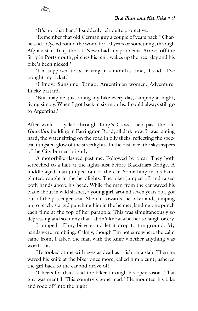'It's not that bad.' I suddenly felt quite protective.

'Remember that old German guy a couple of years back?' Charlie said. 'Cycled round the world for 10 years or something, through Afghanistan, Iraq, the lot. Never had any problems. Arrives off the ferry in Portsmouth, pitches his tent, wakes up the next day and his bike's been nicked.'

'I'm supposed to be leaving in a month's time,' I said. 'I've bought my ticket.'

'I know. Sunshine. Tango. Argentinian women. Adventure. Lucky bastard.'

'But imagine, just riding my bike every day, camping at night, living simply. When I got back in six months, I could always still go to Argentina.'

After work, I cycled through King's Cross, then past the old *Guardian* building in Farringdon Road, all dark now. It was raining hard, the water sitting on the road in oily slicks, reflecting the spectral tungsten glow of the streetlights. In the distance, the skyscrapers of the City burned brightly.

A motorbike flashed past me. Followed by a car. They both screeched to a halt at the lights just before Blackfriars Bridge. A middle-aged man jumped out of the car. Something in his hand glinted, caught in the headlights. The biker jumped off and raised both hands above his head. While the man from the car waved his blade about in wild slashes, a young girl, around seven years old, got out of the passenger seat. She ran towards the biker and, jumping up to reach, started punching him in the helmet, landing one punch each time at the top of her parabola. This was simultaneously so depressing and so funny that I didn't know whether to laugh or cry.

I jumped off my bicycle and let it drop to the ground. My hands were trembling. Calmly, though I'm not sure where the calm came from, I asked the man with the knife whether anything was worth this.

He looked at me with eyes as dead as a fish on a slab. Then he waved his knife at the biker once more, called him a cunt, ushered the girl back to the car and drove off.

'Cheers for that,' said the biker through his open visor. 'That guy was mental. This country's gone mad.' He mounted his bike and rode off into the night.